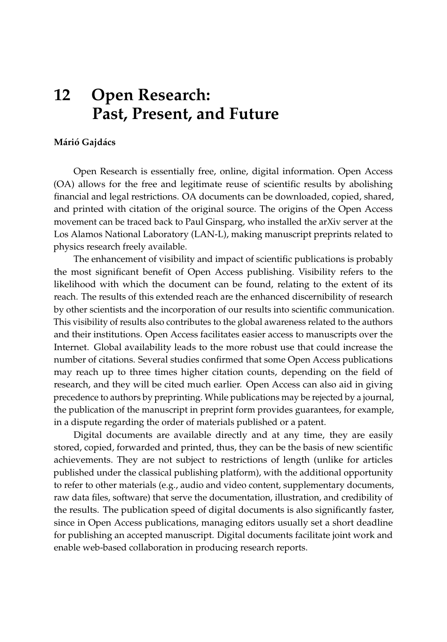## **12 Open Research: Past, Present, and Future**

## **Márió Gajdács**

Open Research is essentially free, online, digital information. Open Access (OA) allows for the free and legitimate reuse of scientific results by abolishing financial and legal restrictions. OA documents can be downloaded, copied, shared, and printed with citation of the original source. The origins of the Open Access movement can be traced back to Paul Ginsparg, who installed the arXiv server at the Los Alamos National Laboratory (LAN-L), making manuscript preprints related to physics research freely available.

The enhancement of visibility and impact of scientific publications is probably the most significant benefit of Open Access publishing. Visibility refers to the likelihood with which the document can be found, relating to the extent of its reach. The results of this extended reach are the enhanced discernibility of research by other scientists and the incorporation of our results into scientific communication. This visibility of results also contributes to the global awareness related to the authors and their institutions. Open Access facilitates easier access to manuscripts over the Internet. Global availability leads to the more robust use that could increase the number of citations. Several studies confirmed that some Open Access publications may reach up to three times higher citation counts, depending on the field of research, and they will be cited much earlier. Open Access can also aid in giving precedence to authors by preprinting. While publications may be rejected by a journal, the publication of the manuscript in preprint form provides guarantees, for example, in a dispute regarding the order of materials published or a patent.

Digital documents are available directly and at any time, they are easily stored, copied, forwarded and printed, thus, they can be the basis of new scientific achievements. They are not subject to restrictions of length (unlike for articles published under the classical publishing platform), with the additional opportunity to refer to other materials (e.g., audio and video content, supplementary documents, raw data files, software) that serve the documentation, illustration, and credibility of the results. The publication speed of digital documents is also significantly faster, since in Open Access publications, managing editors usually set a short deadline for publishing an accepted manuscript. Digital documents facilitate joint work and enable web-based collaboration in producing research reports.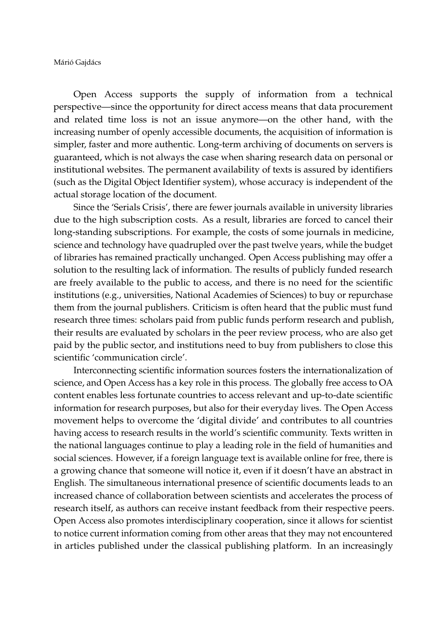Márió Gajdács

Open Access supports the supply of information from a technical perspective—since the opportunity for direct access means that data procurement and related time loss is not an issue anymore—on the other hand, with the increasing number of openly accessible documents, the acquisition of information is simpler, faster and more authentic. Long-term archiving of documents on servers is guaranteed, which is not always the case when sharing research data on personal or institutional websites. The permanent availability of texts is assured by identifiers (such as the Digital Object Identifier system), whose accuracy is independent of the actual storage location of the document.

Since the 'Serials Crisis', there are fewer journals available in university libraries due to the high subscription costs. As a result, libraries are forced to cancel their long-standing subscriptions. For example, the costs of some journals in medicine, science and technology have quadrupled over the past twelve years, while the budget of libraries has remained practically unchanged. Open Access publishing may offer a solution to the resulting lack of information. The results of publicly funded research are freely available to the public to access, and there is no need for the scientific institutions (e.g., universities, National Academies of Sciences) to buy or repurchase them from the journal publishers. Criticism is often heard that the public must fund research three times: scholars paid from public funds perform research and publish, their results are evaluated by scholars in the peer review process, who are also get paid by the public sector, and institutions need to buy from publishers to close this scientific 'communication circle'.

Interconnecting scientific information sources fosters the internationalization of science, and Open Access has a key role in this process. The globally free access to OA content enables less fortunate countries to access relevant and up-to-date scientific information for research purposes, but also for their everyday lives. The Open Access movement helps to overcome the 'digital divide' and contributes to all countries having access to research results in the world's scientific community. Texts written in the national languages continue to play a leading role in the field of humanities and social sciences. However, if a foreign language text is available online for free, there is a growing chance that someone will notice it, even if it doesn't have an abstract in English. The simultaneous international presence of scientific documents leads to an increased chance of collaboration between scientists and accelerates the process of research itself, as authors can receive instant feedback from their respective peers. Open Access also promotes interdisciplinary cooperation, since it allows for scientist to notice current information coming from other areas that they may not encountered in articles published under the classical publishing platform. In an increasingly